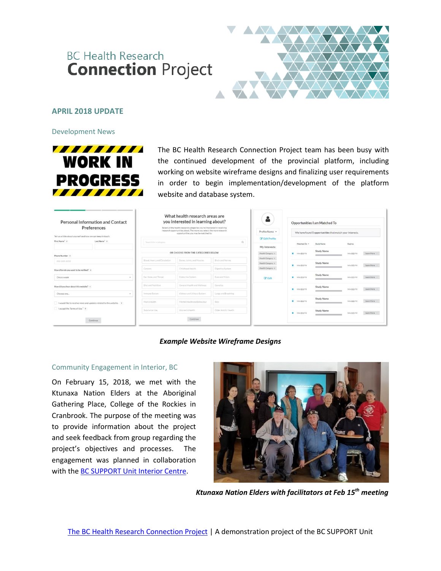# **BC Health Research Connection Project**



# **APRIL 2018 UPDATE**

Development News



The BC Health Research Connection Project team has been busy with the continued development of the provincial platform, including working on website wireframe designs and finalizing user requirements in order to begin implementation/development of the platform website and database system.

| <b>Personal Information and Contact</b><br>Preferences<br>Tell us a little about yourself and how we can keep in touch. |                        |  |                                     | What health research areas are<br>you interested in learning about?<br>Select all the health research categories vou're interested in receiving<br>research opportunities about. The more you select, the more research<br>opportunities you may be matched to. | å<br>Profile Name *<br><b>Z</b> Edit Profile | Opportunities I am Matched To<br>We have found 5 opportunities that match your interests. |                   |                   |          |            |
|-------------------------------------------------------------------------------------------------------------------------|------------------------|--|-------------------------------------|-----------------------------------------------------------------------------------------------------------------------------------------------------------------------------------------------------------------------------------------------------------------|----------------------------------------------|-------------------------------------------------------------------------------------------|-------------------|-------------------|----------|------------|
| First Name 7                                                                                                            | Last Name <sup>2</sup> |  | Search for a category               | My Interests:                                                                                                                                                                                                                                                   | Matched On =<br>Study Name<br>Expires        |                                                                                           |                   |                   |          |            |
| Phone Number 7                                                                                                          |                        |  | OR CHOOSE FROM THE CATEGORIES BELOW | Health Category x                                                                                                                                                                                                                                               | <b>X</b> MM/DD/YY                            | <b>Study Name</b>                                                                         | MM/DD/YY          | Learn More        |          |            |
| 200-000-2000                                                                                                            |                        |  | Blood, Heart, and Circulation       | Rones, Joints, and Muscles                                                                                                                                                                                                                                      | Brain and Nerves                             | Health Category *<br>Health Category. x                                                   |                   | Study Name        |          |            |
| How often do you want to be notified? >                                                                                 |                        |  | Cancers                             | Childhood Health                                                                                                                                                                                                                                                | Digestive System                             | Health Category x                                                                         | X MM/DD/YY        |                   | MM/DD/YY | Learn More |
| Once a week<br>$\sim$                                                                                                   |                        |  | Ear, Nose, and Throat               | Endocrine System                                                                                                                                                                                                                                                | Eves and Vision                              | <b>Z</b> Edit                                                                             | X MM/DD/YY        | Study Name        | MM/DD/YY | Learn More |
| How did you hear about this website? 7                                                                                  |                        |  | Diet and Nutrition                  | General Health and Wellness                                                                                                                                                                                                                                     | Genetics                                     |                                                                                           | <b>X</b> MM/DD/YY | <b>Study Name</b> | MM/DD/YY | Learn More |
| Choose one<br>$\sim$                                                                                                    |                        |  | Immune System                       | Kidneys and Urinary System                                                                                                                                                                                                                                      | Lungs and Breathing                          |                                                                                           |                   |                   |          |            |
| I would like to receive news and updates related to the website. ?<br>I accept the Terms of Use" ?                      |                        |  | Men's Health                        | Mental Health and Behaviour                                                                                                                                                                                                                                     | Kidn <sup>1</sup>                            |                                                                                           | X MM/DD/YY        | Study Name        | MM/DD/YY | Learn More |
|                                                                                                                         |                        |  | Substance Use                       | Women's Health                                                                                                                                                                                                                                                  | Older Adults' Health                         |                                                                                           | X MM/DD/YY        | Study Name        | MM/DD/YY | Learn Mare |
| Continue                                                                                                                |                        |  |                                     |                                                                                                                                                                                                                                                                 |                                              |                                                                                           |                   |                   |          |            |

## *Example Website Wireframe Designs*

#### Community Engagement in Interior, BC

On February 15, 2018, we met with the Ktunaxa Nation Elders at the Aboriginal Gathering Place, College of the Rockies in Cranbrook. The purpose of the meeting was to provide information about the project and seek feedback from group regarding the project's objectives and processes. The engagement was planned in collaboration with the [BC SUPPORT Unit Interior Centre.](http://bcsupportunit.ca/interior-centre/)



*Ktunaxa Nation Elders with facilitators at Feb 15th meeting*